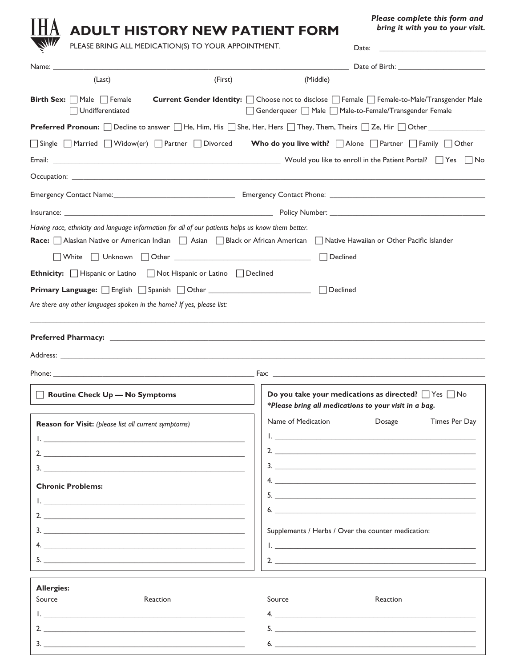| <b>ADULT HISTORY NEW PATIENT FORM</b>                                                                                                                                                                                                                                                                                                                                           |                    |                   | Please complete this form and<br>bring it with you to your visit.                                                                                                                                                                    |
|---------------------------------------------------------------------------------------------------------------------------------------------------------------------------------------------------------------------------------------------------------------------------------------------------------------------------------------------------------------------------------|--------------------|-------------------|--------------------------------------------------------------------------------------------------------------------------------------------------------------------------------------------------------------------------------------|
| PLEASE BRING ALL MEDICATION(S) TO YOUR APPOINTMENT.                                                                                                                                                                                                                                                                                                                             |                    | Date:             | <u> The Communication of the Communication of the Communication of the Communication of the Communication of the Communication of the Communication of the Communication of the Communication of the Communication of the Commun</u> |
|                                                                                                                                                                                                                                                                                                                                                                                 |                    |                   |                                                                                                                                                                                                                                      |
| (Last)                                                                                                                                                                                                                                                                                                                                                                          | (First)            | (Middle)          |                                                                                                                                                                                                                                      |
| <b>Birth Sex:</b> $\Box$ Male $\Box$ Female<br>$\Box$ Undifferentiated                                                                                                                                                                                                                                                                                                          |                    |                   | Current Gender Identity: □ Choose not to disclose □ Female □ Female-to-Male/Transgender Male<br>Genderqueer □ Male □ Male-to-Female/Transgender Female                                                                               |
| Preferred Pronoun: □ Decline to answer □ He, Him, His □ She, Her, Hers □ They, Them, Theirs □ Ze, Hir □ Other △                                                                                                                                                                                                                                                                 |                    |                   |                                                                                                                                                                                                                                      |
| Single Married Widow(er) Partner Divorced                                                                                                                                                                                                                                                                                                                                       |                    |                   | Who do you live with? $\Box$ Alone $\Box$ Partner $\Box$ Family $\Box$ Other                                                                                                                                                         |
|                                                                                                                                                                                                                                                                                                                                                                                 |                    |                   |                                                                                                                                                                                                                                      |
|                                                                                                                                                                                                                                                                                                                                                                                 |                    |                   |                                                                                                                                                                                                                                      |
|                                                                                                                                                                                                                                                                                                                                                                                 |                    |                   |                                                                                                                                                                                                                                      |
|                                                                                                                                                                                                                                                                                                                                                                                 |                    |                   |                                                                                                                                                                                                                                      |
| Having race, ethnicity and language information for all of our patients helps us know them better.                                                                                                                                                                                                                                                                              |                    |                   |                                                                                                                                                                                                                                      |
| Race: Alaskan Native or American Indian   Asian   Black or African American   Native Hawaiian or Other Pacific Islander                                                                                                                                                                                                                                                         |                    |                   |                                                                                                                                                                                                                                      |
|                                                                                                                                                                                                                                                                                                                                                                                 |                    |                   |                                                                                                                                                                                                                                      |
| Vhite ΠUnknown ΠOther <u>Communication</u>                                                                                                                                                                                                                                                                                                                                      |                    | Declined          |                                                                                                                                                                                                                                      |
|                                                                                                                                                                                                                                                                                                                                                                                 |                    |                   |                                                                                                                                                                                                                                      |
|                                                                                                                                                                                                                                                                                                                                                                                 |                    | $\sqcap$ Declined |                                                                                                                                                                                                                                      |
|                                                                                                                                                                                                                                                                                                                                                                                 |                    |                   |                                                                                                                                                                                                                                      |
|                                                                                                                                                                                                                                                                                                                                                                                 |                    |                   |                                                                                                                                                                                                                                      |
|                                                                                                                                                                                                                                                                                                                                                                                 |                    |                   |                                                                                                                                                                                                                                      |
|                                                                                                                                                                                                                                                                                                                                                                                 |                    |                   |                                                                                                                                                                                                                                      |
| <b>Ethnicity:</b> Hispanic or Latino Not Hispanic or Latino Declined<br>Are there any other languages spoken in the home? If yes, please list:<br>Address: with the contract of the contract of the contract of the contract of the contract of the contract of the contract of the contract of the contract of the contract of the contract of the contract of the contract of |                    |                   |                                                                                                                                                                                                                                      |
|                                                                                                                                                                                                                                                                                                                                                                                 |                    |                   |                                                                                                                                                                                                                                      |
| Routine Check Up - No Symptoms                                                                                                                                                                                                                                                                                                                                                  |                    |                   | Do you take your medications as directed? $\Box$ Yes $\Box$ No                                                                                                                                                                       |
|                                                                                                                                                                                                                                                                                                                                                                                 |                    |                   | *Please bring all medications to your visit in a bag.                                                                                                                                                                                |
| Reason for Visit: (please list all current symptoms)                                                                                                                                                                                                                                                                                                                            | Name of Medication |                   | Dosage<br>Times Per Day                                                                                                                                                                                                              |
| <u> 1. – Januar Januar III., prestavanj i postaj postaj predsjednika i postaj postaj predsjednika i postaj post</u>                                                                                                                                                                                                                                                             |                    |                   | <u>I. Communication and the communication of the communication of the communication of the communication</u>                                                                                                                         |
|                                                                                                                                                                                                                                                                                                                                                                                 |                    |                   | 2.                                                                                                                                                                                                                                   |
|                                                                                                                                                                                                                                                                                                                                                                                 |                    |                   |                                                                                                                                                                                                                                      |
| <b>Chronic Problems:</b>                                                                                                                                                                                                                                                                                                                                                        |                    |                   |                                                                                                                                                                                                                                      |
| <u>I. Communication and the communication of the communication of the communication of the communication</u>                                                                                                                                                                                                                                                                    |                    |                   |                                                                                                                                                                                                                                      |
|                                                                                                                                                                                                                                                                                                                                                                                 |                    |                   | $6.$ $\overline{\phantom{a}}$                                                                                                                                                                                                        |
|                                                                                                                                                                                                                                                                                                                                                                                 |                    |                   | Supplements / Herbs / Over the counter medication:                                                                                                                                                                                   |
|                                                                                                                                                                                                                                                                                                                                                                                 |                    |                   |                                                                                                                                                                                                                                      |

| Source   | Reaction | Source | Reaction |
|----------|----------|--------|----------|
|          |          |        |          |
|          |          |        |          |
| <u>.</u> |          |        |          |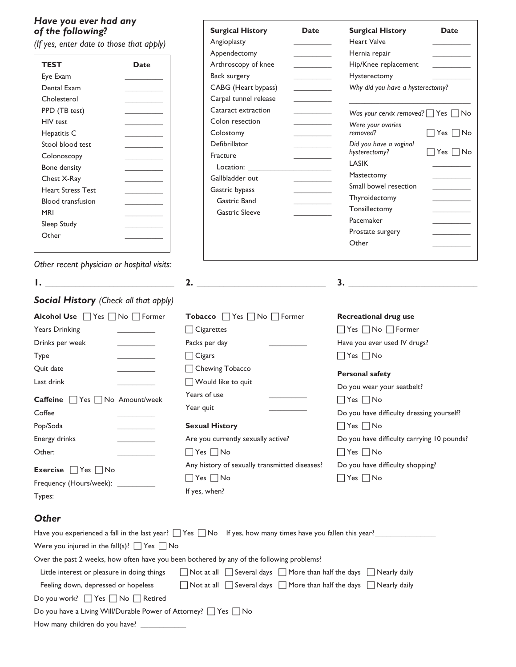## *Have you ever had any of the following?*

| TEST                     | Date |
|--------------------------|------|
| Eye Exam                 |      |
| Dental Exam              |      |
| Cholesterol              |      |
| PPD (TB test)            |      |
| <b>HIV</b> test          |      |
| Hepatitis C              |      |
| Stool blood test         |      |
| Colonoscopy              |      |
| <b>Bone density</b>      |      |
| Chest X-Ray              |      |
| <b>Heart Stress Test</b> |      |
| <b>Blood transfusion</b> |      |
| MRI                      |      |
| Sleep Study              |      |
| Other                    |      |
|                          |      |

Type \_\_\_\_\_\_\_\_\_\_

Coffee \_\_\_\_\_\_\_\_\_\_ Pop/Soda \_\_\_\_\_\_\_\_\_\_

| Have you ever had any<br>of the following?                |                                                                                                                                                                                                                                      | <b>Surgical History</b><br><b>Date</b>                                                                                           | <b>Surgical History</b><br><b>Date</b>                                  |
|-----------------------------------------------------------|--------------------------------------------------------------------------------------------------------------------------------------------------------------------------------------------------------------------------------------|----------------------------------------------------------------------------------------------------------------------------------|-------------------------------------------------------------------------|
| (If yes, enter date to those that apply)                  |                                                                                                                                                                                                                                      | Angioplasty<br><b>Contract Contract Contract</b>                                                                                 | <b>Heart Valve</b>                                                      |
|                                                           |                                                                                                                                                                                                                                      | Appendectomy                                                                                                                     | Hernia repair                                                           |
| <b>TEST</b>                                               | <b>Date</b>                                                                                                                                                                                                                          | Arthroscopy of knee                                                                                                              | Hip/Knee replacement<br><u> 1989 - Johann Barnett, fransk politiker</u> |
| Eye Exam                                                  | <b>Contract Contract</b>                                                                                                                                                                                                             | Back surgery<br><u> 1999 - John Barnett</u>                                                                                      | Hysterectomy                                                            |
| Dental Exam                                               |                                                                                                                                                                                                                                      | CABG (Heart bypass)<br><u> De Carlos de la p</u>                                                                                 | Why did you have a hysterectomy?                                        |
| Cholesterol                                               | <u> The Common State Common</u>                                                                                                                                                                                                      | Carpal tunnel release                                                                                                            | the control of the control of                                           |
| PPD (TB test)                                             |                                                                                                                                                                                                                                      | Cataract extraction                                                                                                              | Was your cervix removed? $\Box$ Yes $\Box$ No                           |
| HIV test                                                  | the control of the control of                                                                                                                                                                                                        | Colon resection<br><b>Contract Contract Contract</b>                                                                             | Were your ovaries                                                       |
| Hepatitis C                                               |                                                                                                                                                                                                                                      | Colostomy<br><b>Contract Contract Contract</b>                                                                                   | removed?<br>$\Box$ Yes $\Box$ No                                        |
| Stool blood test                                          |                                                                                                                                                                                                                                      | Defibrillator<br><u> Liberatura de la conte</u>                                                                                  | Did you have a vaginal<br>hysterectomy?<br>$\Box$ Yes $\Box$ No         |
| Colonoscopy                                               |                                                                                                                                                                                                                                      | Fracture<br><u> Albanya di Barat di Barat di Barat di Barat di Barat di Barat di Barat di Barat di Barat di Barat di Barat d</u> | <b>LASIK</b>                                                            |
| Bone density                                              |                                                                                                                                                                                                                                      | Location: <b>Example</b>                                                                                                         | Mastectomy                                                              |
| Chest X-Ray                                               |                                                                                                                                                                                                                                      | Gallbladder out<br><b>Contract Contract Contract</b>                                                                             | Small bowel resection<br><u> Liberatura de la p</u>                     |
| <b>Heart Stress Test</b>                                  |                                                                                                                                                                                                                                      | Gastric bypass<br>Gastric Band                                                                                                   | Thyroidectomy                                                           |
| <b>Blood transfusion</b><br><b>MRI</b>                    |                                                                                                                                                                                                                                      | <b>Gastric Sleeve</b>                                                                                                            | Tonsillectomy                                                           |
|                                                           | the control of the control of                                                                                                                                                                                                        |                                                                                                                                  | Pacemaker                                                               |
| Sleep Study<br>Other                                      |                                                                                                                                                                                                                                      |                                                                                                                                  | Prostate surgery                                                        |
|                                                           |                                                                                                                                                                                                                                      |                                                                                                                                  | Other                                                                   |
| Other recent physician or hospital visits:                |                                                                                                                                                                                                                                      |                                                                                                                                  |                                                                         |
| <b>I.</b> The contract of the contract of the contract of |                                                                                                                                                                                                                                      | $\overline{\mathbf{2.}}$                                                                                                         | $\overline{\mathbf{3.}}$                                                |
| Social History (Check all that apply)                     |                                                                                                                                                                                                                                      |                                                                                                                                  |                                                                         |
| Alcohol Use Yes No Former                                 |                                                                                                                                                                                                                                      | Tobacco ■ Yes ■ No ■ Former                                                                                                      | <b>Recreational drug use</b>                                            |
| <b>Years Drinking</b>                                     | <u>and the company of the company of the company of the company of the company of the company of the company of the company of the company of the company of the company of the company of the company of the company of the com</u> | Cigarettes                                                                                                                       | $\Box$ Yes $\Box$ No $\Box$ Former                                      |
| Drinks per week                                           | <b>Contract Contract Contract</b>                                                                                                                                                                                                    | Packs per day                                                                                                                    | Have you ever used IV drugs?                                            |
| Type                                                      |                                                                                                                                                                                                                                      | $\exists$ Cigars                                                                                                                 | $\Box$ Yes $\Box$ No                                                    |
| Quit date                                                 |                                                                                                                                                                                                                                      | Chewing Tobacco                                                                                                                  | <b>Personal safety</b>                                                  |
| Last drink                                                |                                                                                                                                                                                                                                      | Would like to quit                                                                                                               |                                                                         |
| <b>Caffeine</b>                                           | $\Box$ Yes $\Box$ No Amount/week                                                                                                                                                                                                     | Years of use                                                                                                                     | Do you wear your seatbelt?<br>$\Box$ Yes $\Box$ No                      |
| Coffee                                                    |                                                                                                                                                                                                                                      | Year quit                                                                                                                        | Do you have difficulty dressing yourself?                               |
|                                                           |                                                                                                                                                                                                                                      |                                                                                                                                  |                                                                         |
| Pop/Soda                                                  |                                                                                                                                                                                                                                      | <b>Sexual History</b>                                                                                                            | $\Box$ Yes $\Box$ No                                                    |
| Energy drinks                                             |                                                                                                                                                                                                                                      | Are you currently sexually active?                                                                                               | Do you have difficulty carrying 10 pounds?                              |
| Other:                                                    |                                                                                                                                                                                                                                      | $Yes \tNo$                                                                                                                       | $\vert$ Yes $\vert$ No                                                  |

Energy drinks \_\_\_\_\_\_\_\_\_\_ Other: \_\_\_\_\_\_\_\_\_\_

| <b>Exercise</b> $\Box$ Yes $\Box$ No |  |
|--------------------------------------|--|
| Frequency (Hours/week):              |  |

| Are you currently sexually active?            |
|-----------------------------------------------|
| $\Box$ Yes $\Box$ No                          |
| Any history of sexually transmitted diseases? |
| $\Box$ Yes $\Box$ No                          |

If yes, when?

|                      | Do you have difficulty shopping? |
|----------------------|----------------------------------|
| $\Box$ Yes $\Box$ No |                                  |

## Types: *Other*

|                                                                           | Have you experienced a fall in the last year? $\Box$ Yes $\Box$ No If yes, how many times have you fallen this year? |
|---------------------------------------------------------------------------|----------------------------------------------------------------------------------------------------------------------|
| Were you injured in the fall(s)? $\Box$ Yes $\Box$ No                     |                                                                                                                      |
|                                                                           | Over the past 2 weeks, how often have you been bothered by any of the following problems?                            |
| Little interest or pleasure in doing things                               | ◯ Not at all ◯ Several days ◯ More than half the days ◯ Nearly daily                                                 |
| Feeling down, depressed or hopeless                                       | ◯ Not at all ◯ Several days ◯ More than half the days ◯ Nearly daily                                                 |
| Do you work? 7 Yes No Retired                                             |                                                                                                                      |
| Do you have a Living Will/Durable Power of Attorney? $\Box$ Yes $\Box$ No |                                                                                                                      |
| How many children do you have?                                            |                                                                                                                      |